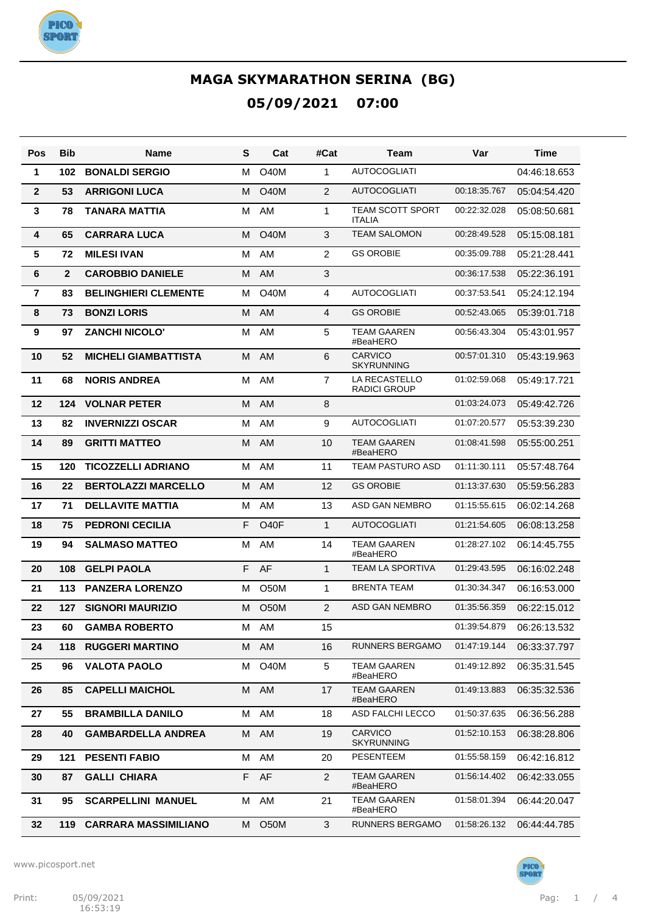

| Pos            | <b>Bib</b>   | Name                        | S  | Cat               | #Cat           | Team                                     | Var          | Time         |
|----------------|--------------|-----------------------------|----|-------------------|----------------|------------------------------------------|--------------|--------------|
| 1              | 102          | <b>BONALDI SERGIO</b>       | м  | <b>O40M</b>       | 1              | <b>AUTOCOGLIATI</b>                      |              | 04:46:18.653 |
| $\mathbf{2}$   | 53           | <b>ARRIGONI LUCA</b>        | м  | <b>O40M</b>       | 2              | <b>AUTOCOGLIATI</b>                      | 00:18:35.767 | 05:04:54.420 |
| $\mathbf{3}$   | 78           | <b>TANARA MATTIA</b>        | м  | AM                | 1              | <b>TEAM SCOTT SPORT</b><br><b>ITALIA</b> | 00:22:32.028 | 05:08:50.681 |
| 4              | 65           | <b>CARRARA LUCA</b>         | м  | <b>O40M</b>       | 3              | <b>TEAM SALOMON</b>                      | 00:28:49.528 | 05:15:08.181 |
| 5              | 72           | <b>MILESI IVAN</b>          | м  | AM                | 2              | <b>GS OROBIE</b>                         | 00:35:09.788 | 05:21:28.441 |
| 6              | $\mathbf{2}$ | <b>CAROBBIO DANIELE</b>     | м  | AM                | 3              |                                          | 00:36:17.538 | 05:22:36.191 |
| $\overline{7}$ | 83           | <b>BELINGHIERI CLEMENTE</b> | М  | <b>O40M</b>       | 4              | <b>AUTOCOGLIATI</b>                      | 00:37:53.541 | 05:24:12.194 |
| 8              | 73           | <b>BONZI LORIS</b>          | м  | AM                | 4              | <b>GS OROBIE</b>                         | 00:52:43.065 | 05:39:01.718 |
| 9              | 97           | <b>ZANCHI NICOLO'</b>       | м  | AM                | 5              | <b>TEAM GAAREN</b><br>#BeaHERO           | 00:56:43.304 | 05:43:01.957 |
| 10             | 52           | <b>MICHELI GIAMBATTISTA</b> | М  | AM                | 6              | <b>CARVICO</b><br><b>SKYRUNNING</b>      | 00:57:01.310 | 05:43:19.963 |
| 11             | 68           | <b>NORIS ANDREA</b>         | м  | AM                | 7              | LA RECASTELLO<br><b>RADICI GROUP</b>     | 01:02:59.068 | 05:49:17.721 |
| 12             | 124          | <b>VOLNAR PETER</b>         | М  | AM                | 8              |                                          | 01:03:24.073 | 05:49:42.726 |
| 13             | 82           | <b>INVERNIZZI OSCAR</b>     | м  | AM                | 9              | <b>AUTOCOGLIATI</b>                      | 01:07:20.577 | 05:53:39.230 |
| 14             | 89           | <b>GRITTI MATTEO</b>        | м  | AM                | 10             | <b>TEAM GAAREN</b><br>#BeaHERO           | 01:08:41.598 | 05:55:00.251 |
| 15             | 120          | <b>TICOZZELLI ADRIANO</b>   | М  | AM                | 11             | TEAM PASTURO ASD                         | 01:11:30.111 | 05:57:48.764 |
| 16             | 22           | <b>BERTOLAZZI MARCELLO</b>  | м  | AM                | 12             | <b>GS OROBIE</b>                         | 01:13:37.630 | 05:59:56.283 |
| 17             | 71           | <b>DELLAVITE MATTIA</b>     | м  | AM                | 13             | ASD GAN NEMBRO                           | 01:15:55.615 | 06:02:14.268 |
| 18             | 75           | <b>PEDRONI CECILIA</b>      | F  | O <sub>40</sub> F | $\mathbf{1}$   | <b>AUTOCOGLIATI</b>                      | 01:21:54.605 | 06:08:13.258 |
| 19             | 94           | <b>SALMASO MATTEO</b>       | м  | AM                | 14             | <b>TEAM GAAREN</b><br>#BeaHERO           | 01:28:27.102 | 06:14:45.755 |
| 20             | 108          | <b>GELPI PAOLA</b>          | F. | AF                | $\mathbf 1$    | <b>TEAM LA SPORTIVA</b>                  | 01:29:43.595 | 06:16:02.248 |
| 21             | 113          | <b>PANZERA LORENZO</b>      | м  | O50M              | 1              | <b>BRENTA TEAM</b>                       | 01:30:34.347 | 06:16:53.000 |
| 22             | 127          | <b>SIGNORI MAURIZIO</b>     | M  | O <sub>50</sub> M | 2              | <b>ASD GAN NEMBRO</b>                    | 01:35:56.359 | 06:22:15.012 |
| 23             | 60           | <b>GAMBA ROBERTO</b>        | м  | AM                | 15             |                                          | 01:39:54.879 | 06:26:13.532 |
| 24             | 118          | <b>RUGGERI MARTINO</b>      |    | M AM              | 16             | <b>RUNNERS BERGAMO</b>                   | 01:47:19.144 | 06:33:37.797 |
| 25             | 96           | <b>VALOTA PAOLO</b>         | M  | <b>O40M</b>       | 5              | TEAM GAAREN<br>#BeaHERO                  | 01:49:12.892 | 06:35:31.545 |
| 26             | 85           | <b>CAPELLI MAICHOL</b>      |    | M AM              | 17             | <b>TEAM GAAREN</b><br>#BeaHERO           | 01:49:13.883 | 06:35:32.536 |
| 27             | 55           | <b>BRAMBILLA DANILO</b>     | М  | AM                | 18             | <b>ASD FALCHI LECCO</b>                  | 01:50:37.635 | 06:36:56.288 |
| 28             | 40           | <b>GAMBARDELLA ANDREA</b>   | Μ  | AM                | 19             | <b>CARVICO</b><br><b>SKYRUNNING</b>      | 01:52:10.153 | 06:38:28.806 |
| 29             | 121          | <b>PESENTI FABIO</b>        |    | M AM              | 20             | <b>PESENTEEM</b>                         | 01:55:58.159 | 06:42:16.812 |
| 30             | 87           | <b>GALLI CHIARA</b>         |    | F AF              | $\overline{2}$ | <b>TEAM GAAREN</b><br>#BeaHERO           | 01:56:14.402 | 06:42:33.055 |
| 31             | 95           | <b>SCARPELLINI MANUEL</b>   |    | M AM              | 21             | <b>TEAM GAAREN</b><br>#BeaHERO           | 01:58:01.394 | 06:44:20.047 |
| 32             | 119          | <b>CARRARA MASSIMILIANO</b> |    | M O50M            | 3              | RUNNERS BERGAMO                          | 01:58:26.132 | 06:44:44.785 |

www.picosport.net



**PICO**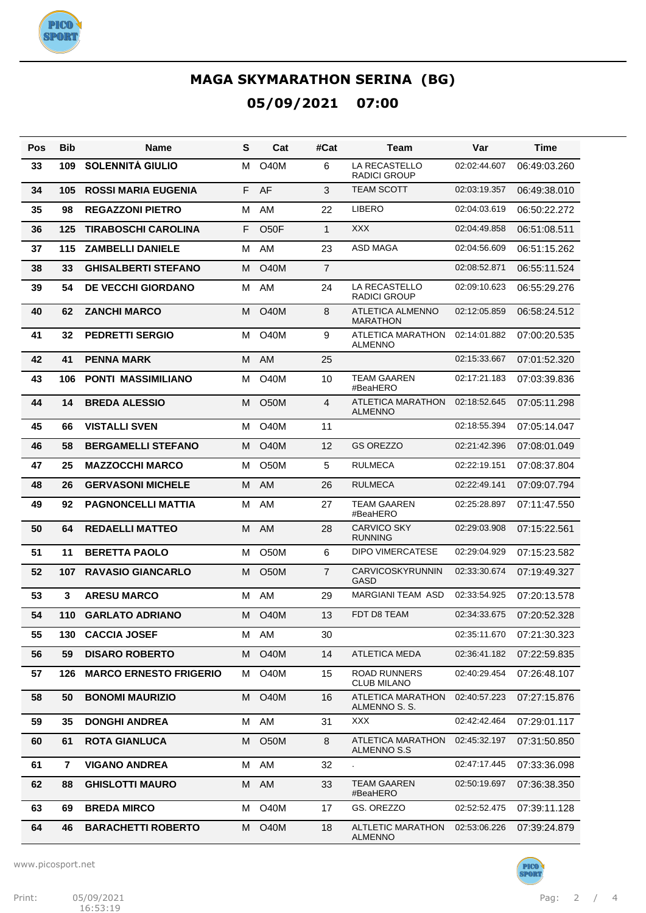

| Pos | <b>Bib</b> | <b>Name</b>                   | S | Cat               | #Cat           | Team                                        | Var          | Time         |
|-----|------------|-------------------------------|---|-------------------|----------------|---------------------------------------------|--------------|--------------|
| 33  | 109        | <b>SOLENNITÁ GIULIO</b>       | м | O <sub>4</sub> 0M | 6              | <b>LA RECASTELLO</b><br><b>RADICI GROUP</b> | 02:02:44.607 | 06:49:03.260 |
| 34  | 105        | <b>ROSSI MARIA EUGENIA</b>    | F | AF                | 3              | <b>TEAM SCOTT</b>                           | 02:03:19.357 | 06:49:38.010 |
| 35  | 98         | <b>REGAZZONI PIETRO</b>       | М | AM                | 22             | <b>LIBERO</b>                               | 02:04:03.619 | 06:50:22.272 |
| 36  | 125        | <b>TIRABOSCHI CAROLINA</b>    | F | O <sub>5</sub> OF | $\mathbf{1}$   | <b>XXX</b>                                  | 02:04:49.858 | 06:51:08.511 |
| 37  | 115        | <b>ZAMBELLI DANIELE</b>       | М | AM                | 23             | ASD MAGA                                    | 02:04:56.609 | 06:51:15.262 |
| 38  | 33         | <b>GHISALBERTI STEFANO</b>    | м | <b>O40M</b>       | $\overline{7}$ |                                             | 02:08:52.871 | 06:55:11.524 |
| 39  | 54         | <b>DE VECCHI GIORDANO</b>     | м | AM                | 24             | LA RECASTELLO<br><b>RADICI GROUP</b>        | 02:09:10.623 | 06:55:29.276 |
| 40  | 62         | <b>ZANCHI MARCO</b>           | М | <b>O40M</b>       | 8              | ATLETICA ALMENNO<br><b>MARATHON</b>         | 02:12:05.859 | 06:58:24.512 |
| 41  | 32         | <b>PEDRETTI SERGIO</b>        | м | O <sub>4</sub> 0M | 9              | ATLETICA MARATHON<br><b>ALMENNO</b>         | 02:14:01.882 | 07:00:20.535 |
| 42  | 41         | <b>PENNA MARK</b>             | M | AM                | 25             |                                             | 02:15:33.667 | 07:01:52.320 |
| 43  | 106        | <b>PONTI MASSIMILIANO</b>     | м | <b>O40M</b>       | 10             | <b>TEAM GAAREN</b><br>#BeaHERO              | 02:17:21.183 | 07:03:39.836 |
| 44  | 14         | <b>BREDA ALESSIO</b>          | М | <b>O50M</b>       | 4              | <b>ATLETICA MARATHON</b><br><b>ALMENNO</b>  | 02:18:52.645 | 07:05:11.298 |
| 45  | 66         | <b>VISTALLI SVEN</b>          | м | <b>O40M</b>       | 11             |                                             | 02:18:55.394 | 07:05:14.047 |
| 46  | 58         | <b>BERGAMELLI STEFANO</b>     | м | O <sub>4</sub> 0M | 12             | <b>GS OREZZO</b>                            | 02:21:42.396 | 07:08:01.049 |
| 47  | 25         | <b>MAZZOCCHI MARCO</b>        | м | O <sub>5</sub> 0M | 5              | <b>RULMECA</b>                              | 02:22:19.151 | 07:08:37.804 |
| 48  | 26         | <b>GERVASONI MICHELE</b>      | M | AM.               | 26             | RULMECA                                     | 02:22:49.141 | 07:09:07.794 |
| 49  | 92         | <b>PAGNONCELLI MATTIA</b>     | м | AM                | 27             | <b>TEAM GAAREN</b><br>#BeaHERO              | 02:25:28.897 | 07:11:47.550 |
| 50  | 64         | <b>REDAELLI MATTEO</b>        | M | AM                | 28             | <b>CARVICO SKY</b><br><b>RUNNING</b>        | 02:29:03.908 | 07:15:22.561 |
| 51  | 11         | <b>BERETTA PAOLO</b>          | м | O <sub>5</sub> 0M | 6              | <b>DIPO VIMERCATESE</b>                     | 02:29:04.929 | 07:15:23.582 |
| 52  | 107        | <b>RAVASIO GIANCARLO</b>      | М | O <sub>5</sub> 0M | $\overline{7}$ | <b>CARVICOSKYRUNNIN</b><br>GASD             | 02:33:30.674 | 07:19:49.327 |
| 53  | 3          | <b>ARESU MARCO</b>            | м | AM                | 29             | <b>MARGIANI TEAM ASD</b>                    | 02:33:54.925 | 07:20:13.578 |
| 54  | 110        | <b>GARLATO ADRIANO</b>        | м | O <sub>4</sub> 0M | 13             | FDT D8 TEAM                                 | 02:34:33.675 | 07:20:52.328 |
| 55  | 130        | <b>CACCIA JOSEF</b>           |   | M AM              | 30             |                                             | 02:35:11.670 | 07:21:30.323 |
| 56  | 59         | <b>DISARO ROBERTO</b>         | м | <b>O40M</b>       | 14             | <b>ATLETICA MEDA</b>                        | 02:36:41.182 | 07:22:59.835 |
| 57  | 126        | <b>MARCO ERNESTO FRIGERIO</b> | м | <b>O40M</b>       | 15             | ROAD RUNNERS<br><b>CLUB MILANO</b>          | 02:40:29.454 | 07:26:48.107 |
| 58  | 50         | <b>BONOMI MAURIZIO</b>        | м | <b>O40M</b>       | 16             | <b>ATLETICA MARATHON</b><br>ALMENNO S. S.   | 02:40:57.223 | 07:27:15.876 |
| 59  | 35         | <b>DONGHI ANDREA</b>          | м | AM                | 31             | <b>XXX</b>                                  | 02:42:42.464 | 07:29:01.117 |
| 60  | 61         | <b>ROTA GIANLUCA</b>          | м | O50M              | 8              | ATLETICA MARATHON<br><b>ALMENNO S.S</b>     | 02:45:32.197 | 07:31:50.850 |
| 61  | 7          | <b>VIGANO ANDREA</b>          | м | AM                | 32             |                                             | 02:47:17.445 | 07:33:36.098 |
| 62  | 88         | <b>GHISLOTTI MAURO</b>        | м | AM                | 33             | <b>TEAM GAAREN</b><br>#BeaHERO              | 02:50:19.697 | 07:36:38.350 |
| 63  | 69         | <b>BREDA MIRCO</b>            | м | <b>O40M</b>       | 17             | GS. OREZZO                                  | 02:52:52.475 | 07:39:11.128 |
| 64  | 46         | <b>BARACHETTI ROBERTO</b>     | м | <b>O40M</b>       | 18             | <b>ALTLETIC MARATHON</b><br><b>ALMENNO</b>  | 02:53:06.226 | 07:39:24.879 |

www.picosport.net



**PICO**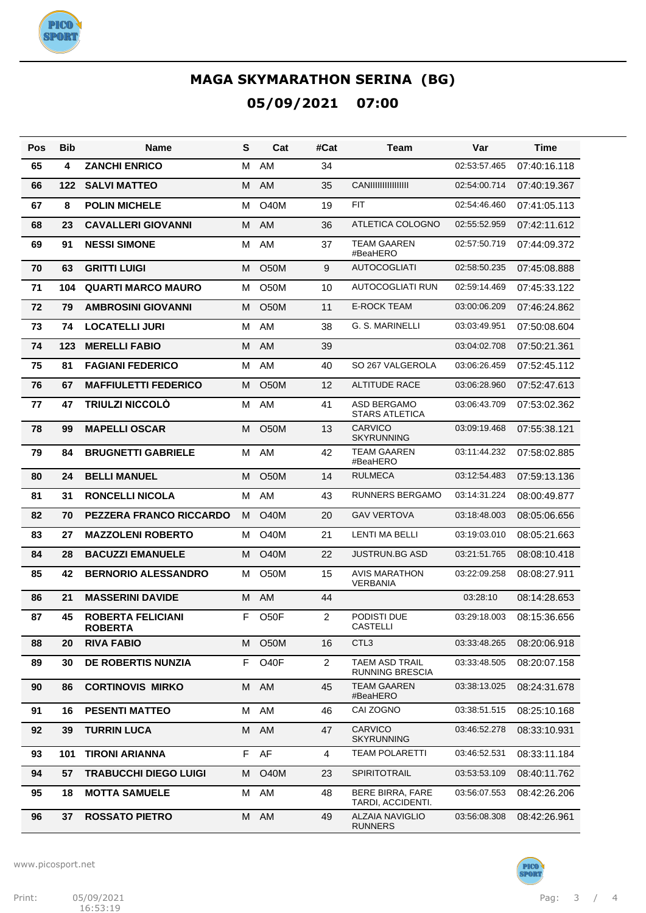

| Pos | Bib | <b>Name</b>                                | S  | Cat               | #Cat           | Team                                        | Var          | Time         |
|-----|-----|--------------------------------------------|----|-------------------|----------------|---------------------------------------------|--------------|--------------|
| 65  | 4   | <b>ZANCHI ENRICO</b>                       | M  | AM                | 34             |                                             | 02:53:57.465 | 07:40:16.118 |
| 66  | 122 | <b>SALVI MATTEO</b>                        | M  | AM                | 35             | <b>CANIIIIIIIIIIIIIII</b> II                | 02:54:00.714 | 07:40:19.367 |
| 67  | 8   | <b>POLIN MICHELE</b>                       | м  | <b>O40M</b>       | 19             | <b>FIT</b>                                  | 02:54:46.460 | 07:41:05.113 |
| 68  | 23  | <b>CAVALLERI GIOVANNI</b>                  | M  | AM                | 36             | ATLETICA COLOGNO                            | 02:55:52.959 | 07:42:11.612 |
| 69  | 91  | <b>NESSI SIMONE</b>                        | M  | AM                | 37             | <b>TEAM GAAREN</b><br>#BeaHERO              | 02:57:50.719 | 07:44:09.372 |
| 70  | 63  | <b>GRITTI LUIGI</b>                        | м  | <b>O50M</b>       | 9              | <b>AUTOCOGLIATI</b>                         | 02:58:50.235 | 07:45:08.888 |
| 71  | 104 | <b>QUARTI MARCO MAURO</b>                  | м  | O <sub>50</sub> M | 10             | AUTOCOGLIATI RUN                            | 02:59:14.469 | 07:45:33.122 |
| 72  | 79  | <b>AMBROSINI GIOVANNI</b>                  | м  | <b>O50M</b>       | 11             | <b>E-ROCK TEAM</b>                          | 03:00:06.209 | 07:46:24.862 |
| 73  | 74  | <b>LOCATELLI JURI</b>                      | м  | AM                | 38             | G. S. MARINELLI                             | 03:03:49.951 | 07:50:08.604 |
| 74  | 123 | <b>MERELLI FABIO</b>                       | м  | AM                | 39             |                                             | 03:04:02.708 | 07:50:21.361 |
| 75  | 81  | <b>FAGIANI FEDERICO</b>                    | м  | AM                | 40             | SO 267 VALGEROLA                            | 03:06:26.459 | 07:52:45.112 |
| 76  | 67  | <b>MAFFIULETTI FEDERICO</b>                | м  | <b>O50M</b>       | 12             | <b>ALTITUDE RACE</b>                        | 03:06:28.960 | 07:52:47.613 |
| 77  | 47  | <b>TRIULZI NICCOLÒ</b>                     | м  | AM                | 41             | <b>ASD BERGAMO</b><br><b>STARS ATLETICA</b> | 03:06:43.709 | 07:53:02.362 |
| 78  | 99  | <b>MAPELLI OSCAR</b>                       | м  | <b>O50M</b>       | 13             | <b>CARVICO</b><br><b>SKYRUNNING</b>         | 03:09:19.468 | 07:55:38.121 |
| 79  | 84  | <b>BRUGNETTI GABRIELE</b>                  | M  | AM                | 42             | <b>TEAM GAAREN</b><br>#BeaHERO              | 03:11:44.232 | 07:58:02.885 |
| 80  | 24  | <b>BELLI MANUEL</b>                        | м  | <b>O50M</b>       | 14             | <b>RULMECA</b>                              | 03:12:54.483 | 07:59:13.136 |
| 81  | 31  | <b>RONCELLI NICOLA</b>                     | м  | AM                | 43             | RUNNERS BERGAMO                             | 03:14:31.224 | 08:00:49.877 |
| 82  | 70  | <b>PEZZERA FRANCO RICCARDO</b>             | м  | O40M              | 20             | <b>GAV VERTOVA</b>                          | 03:18:48.003 | 08:05:06.656 |
| 83  | 27  | <b>MAZZOLENI ROBERTO</b>                   | м  | <b>O40M</b>       | 21             | <b>LENTI MA BELLI</b>                       | 03:19:03.010 | 08:05:21.663 |
| 84  | 28  | <b>BACUZZI EMANUELE</b>                    | м  | <b>O40M</b>       | 22             | JUSTRUN.BG ASD                              | 03:21:51.765 | 08:08:10.418 |
| 85  | 42  | <b>BERNORIO ALESSANDRO</b>                 | м  | <b>O50M</b>       | 15             | <b>AVIS MARATHON</b><br><b>VERBANIA</b>     | 03:22:09.258 | 08:08:27.911 |
| 86  | 21  | <b>MASSERINI DAVIDE</b>                    | м  | AM                | 44             |                                             | 03:28:10     | 08:14:28.653 |
| 87  | 45  | <b>ROBERTA FELICIANI</b><br><b>ROBERTA</b> | F. | O <sub>5</sub> OF | $\overline{2}$ | PODISTI DUE<br><b>CASTELLI</b>              | 03:29:18.003 | 08:15:36.656 |
| 88  | 20  | <b>RIVA FABIO</b>                          | M  | O <sub>5</sub> 0M | 16             | CTL <sub>3</sub>                            | 03:33:48.265 | 08:20:06.918 |
| 89  | 30  | DE ROBERTIS NUNZIA                         | F  | O <sub>40</sub> F | $\overline{2}$ | TAEM ASD TRAIL<br><b>RUNNING BRESCIA</b>    | 03:33:48.505 | 08:20:07.158 |
| 90  | 86  | <b>CORTINOVIS MIRKO</b>                    | M  | AM                | 45             | TEAM GAAREN<br>#BeaHERO                     | 03:38:13.025 | 08:24:31.678 |
| 91  | 16  | <b>PESENTI MATTEO</b>                      | м  | AM                | 46             | CAI ZOGNO                                   | 03:38:51.515 | 08:25:10.168 |
| 92  | 39  | <b>TURRIN LUCA</b>                         | M  | AM                | 47             | <b>CARVICO</b><br><b>SKYRUNNING</b>         | 03:46:52.278 | 08:33:10.931 |
| 93  | 101 | <b>TIRONI ARIANNA</b>                      | F. | AF                | 4              | <b>TEAM POLARETTI</b>                       | 03:46:52.531 | 08:33:11.184 |
| 94  | 57  | <b>TRABUCCHI DIEGO LUIGI</b>               | м  | <b>O40M</b>       | 23             | SPIRITOTRAIL                                | 03:53:53.109 | 08:40:11.762 |
| 95  | 18  | <b>MOTTA SAMUELE</b>                       | М  | AM                | 48             | BERE BIRRA, FARE<br>TARDI, ACCIDENTI.       | 03:56:07.553 | 08:42:26.206 |
| 96  | 37  | <b>ROSSATO PIETRO</b>                      | М  | AM                | 49             | <b>ALZAIA NAVIGLIO</b><br><b>RUNNERS</b>    | 03:56:08.308 | 08:42:26.961 |





PICO<sup>3</sup><br>SPORT